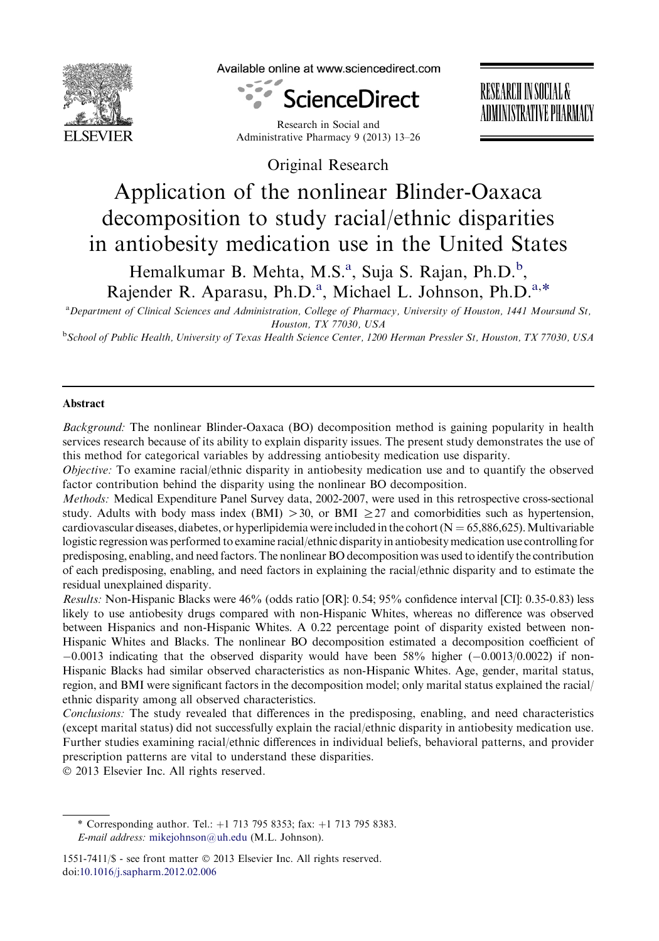

Available online at www.sciencedirect.com



Research in Social and Administrative Pharmacy 9 (2013) 13–26 RESEARCH IN SOCIAL & ADMINISTRATIVE PHARMACY

Original Research

# Application of the nonlinear Blinder-Oaxaca decomposition to study racial/ethnic disparities in antiobesity medication use in the United States

Hemalkumar B. Mehta, M.S.<sup>a</sup>, Suja S. Rajan, Ph.D.<sup>b</sup>, Rajender R. Aparasu, Ph.D.<sup>a</sup>, Michael L. Johnson, Ph.D.<sup>a,\*</sup>

a Department of Clinical Sciences and Administration, College of Pharmacy, University of Houston, 1441 Moursund St, Houston, TX 77030, USA

**b**School of Public Health, University of Texas Health Science Center, 1200 Herman Pressler St, Houston, TX 77030, USA

## Abstract

Background: The nonlinear Blinder-Oaxaca (BO) decomposition method is gaining popularity in health services research because of its ability to explain disparity issues. The present study demonstrates the use of this method for categorical variables by addressing antiobesity medication use disparity.

Objective: To examine racial/ethnic disparity in antiobesity medication use and to quantify the observed factor contribution behind the disparity using the nonlinear BO decomposition.

Methods: Medical Expenditure Panel Survey data, 2002-2007, were used in this retrospective cross-sectional study. Adults with body mass index (BMI)  $>$  30, or BMI  $\geq$  27 and comorbidities such as hypertension, cardiovascular diseases, diabetes, or hyperlipidemia were included in the cohort ( $N = 65,886,625$ ). Multivariable logistic regression was performed to examine racial/ethnic disparity in antiobesity medication use controlling for predisposing, enabling, and need factors. The nonlinear BO decomposition was used to identify the contribution of each predisposing, enabling, and need factors in explaining the racial/ethnic disparity and to estimate the residual unexplained disparity.

Results: Non-Hispanic Blacks were 46% (odds ratio [OR]: 0.54; 95% confidence interval [CI]: 0.35-0.83) less likely to use antiobesity drugs compared with non-Hispanic Whites, whereas no difference was observed between Hispanics and non-Hispanic Whites. A 0.22 percentage point of disparity existed between non-Hispanic Whites and Blacks. The nonlinear BO decomposition estimated a decomposition coefficient of  $-0.0013$  indicating that the observed disparity would have been 58% higher  $(-0.0013/0.0022)$  if non-Hispanic Blacks had similar observed characteristics as non-Hispanic Whites. Age, gender, marital status, region, and BMI were significant factors in the decomposition model; only marital status explained the racial/ ethnic disparity among all observed characteristics.

Conclusions: The study revealed that differences in the predisposing, enabling, and need characteristics (except marital status) did not successfully explain the racial/ethnic disparity in antiobesity medication use. Further studies examining racial/ethnic differences in individual beliefs, behavioral patterns, and provider prescription patterns are vital to understand these disparities.

2013 Elsevier Inc. All rights reserved.

<sup>\*</sup> Corresponding author. Tel.:  $+1$  713 795 8353; fax:  $+1$  713 795 8383. E-mail address: [mikejohnson@uh.edu](mailto:mikejohnson@uh.edu) (M.L. Johnson).

<sup>1551-7411/\$ -</sup> see front matter 2013 Elsevier Inc. All rights reserved. doi:[10.1016/j.sapharm.2012.02.006](http://dx.doi.org/10.1016/j.sapharm.2012.02.006)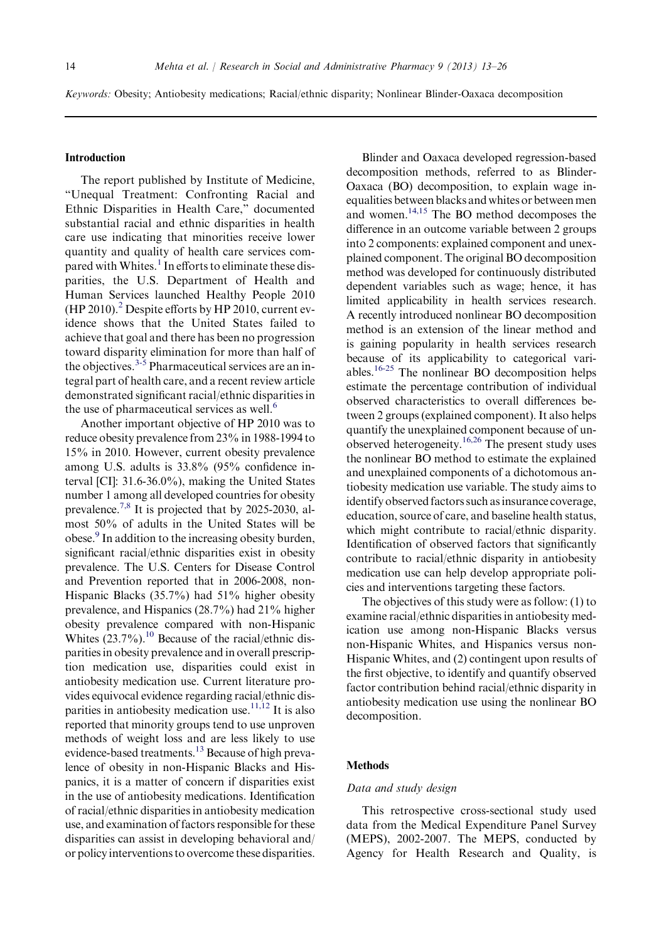Keywords: Obesity; Antiobesity medications; Racial/ethnic disparity; Nonlinear Blinder-Oaxaca decomposition

#### Introduction

The report published by Institute of Medicine, "Unequal Treatment: Confronting Racial and Ethnic Disparities in Health Care," documented substantial racial and ethnic disparities in health care use indicating that minorities receive lower quantity and quality of health care services com-pared with Whites.<sup>[1](#page-12-0)</sup> In efforts to eliminate these disparities, the U.S. Department of Health and Human Services launched Healthy People 2010  $(HP 2010).$  $(HP 2010).$  $(HP 2010).$ <sup>2</sup> Despite efforts by HP 2010, current evidence shows that the United States failed to achieve that goal and there has been no progression toward disparity elimination for more than half of the objectives.  $3-5$  Pharmaceutical services are an integral part of health care, and a recent review article demonstrated significant racial/ethnic disparities in the use of pharmaceutical services as well.<sup>[6](#page-12-0)</sup>

Another important objective of HP 2010 was to reduce obesity prevalence from 23% in 1988-1994 to 15% in 2010. However, current obesity prevalence among U.S. adults is 33.8% (95% confidence interval [CI]: 31.6-36.0%), making the United States number 1 among all developed countries for obesity prevalence.[7,8](#page-12-0) It is projected that by 2025-2030, almost 50% of adults in the United States will be obese.<sup>[9](#page-12-0)</sup> In addition to the increasing obesity burden, significant racial/ethnic disparities exist in obesity prevalence. The U.S. Centers for Disease Control and Prevention reported that in 2006-2008, non-Hispanic Blacks (35.7%) had 51% higher obesity prevalence, and Hispanics (28.7%) had 21% higher obesity prevalence compared with non-Hispanic Whites  $(23.7\%)$ <sup>10</sup> Because of the racial/ethnic disparities in obesity prevalence and in overall prescription medication use, disparities could exist in antiobesity medication use. Current literature provides equivocal evidence regarding racial/ethnic disparities in antiobesity medication use.<sup>11,12</sup> It is also reported that minority groups tend to use unproven methods of weight loss and are less likely to use evidence-based treatments.<sup>13</sup> Because of high prevalence of obesity in non-Hispanic Blacks and Hispanics, it is a matter of concern if disparities exist in the use of antiobesity medications. Identification of racial/ethnic disparities in antiobesity medication use, and examination of factors responsible for these disparities can assist in developing behavioral and/ or policy interventions to overcome these disparities.

Blinder and Oaxaca developed regression-based decomposition methods, referred to as Blinder-Oaxaca (BO) decomposition, to explain wage inequalities between blacks and whites or between men and women[.14,15](#page-13-0) The BO method decomposes the difference in an outcome variable between 2 groups into 2 components: explained component and unexplained component. The original BO decomposition method was developed for continuously distributed dependent variables such as wage; hence, it has limited applicability in health services research. A recently introduced nonlinear BO decomposition method is an extension of the linear method and is gaining popularity in health services research because of its applicability to categorical variables[.16-25](#page-13-0) The nonlinear BO decomposition helps estimate the percentage contribution of individual observed characteristics to overall differences between 2 groups (explained component). It also helps quantify the unexplained component because of unobserved heterogeneity.<sup>16,26</sup> The present study uses the nonlinear BO method to estimate the explained and unexplained components of a dichotomous antiobesity medication use variable. The study aims to identify observed factors such as insurance coverage, education, source of care, and baseline health status, which might contribute to racial/ethnic disparity. Identification of observed factors that significantly contribute to racial/ethnic disparity in antiobesity medication use can help develop appropriate policies and interventions targeting these factors.

The objectives of this study were as follow: (1) to examine racial/ethnic disparities in antiobesity medication use among non-Hispanic Blacks versus non-Hispanic Whites, and Hispanics versus non-Hispanic Whites, and (2) contingent upon results of the first objective, to identify and quantify observed factor contribution behind racial/ethnic disparity in antiobesity medication use using the nonlinear BO decomposition.

#### **Methods**

#### Data and study design

This retrospective cross-sectional study used data from the Medical Expenditure Panel Survey (MEPS), 2002-2007. The MEPS, conducted by Agency for Health Research and Quality, is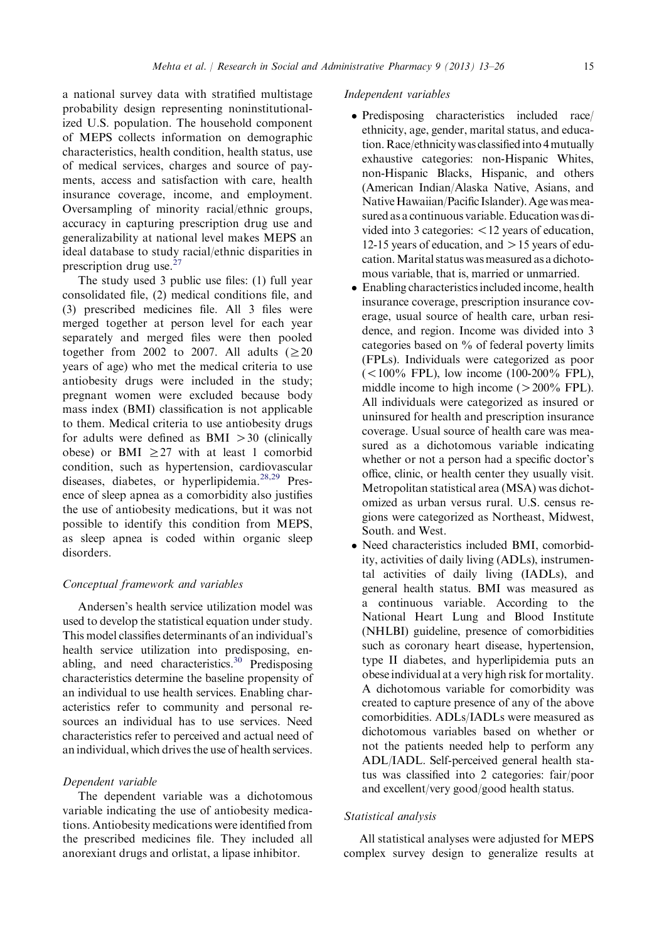a national survey data with stratified multistage probability design representing noninstitutionalized U.S. population. The household component of MEPS collects information on demographic characteristics, health condition, health status, use of medical services, charges and source of payments, access and satisfaction with care, health insurance coverage, income, and employment. Oversampling of minority racial/ethnic groups, accuracy in capturing prescription drug use and generalizability at national level makes MEPS an ideal database to study racial/ethnic disparities in prescription drug use.<sup>[27](#page-13-0)</sup>

The study used 3 public use files: (1) full year consolidated file, (2) medical conditions file, and (3) prescribed medicines file. All 3 files were merged together at person level for each year separately and merged files were then pooled together from 2002 to 2007. All adults  $(\geq 20)$ years of age) who met the medical criteria to use antiobesity drugs were included in the study; pregnant women were excluded because body mass index (BMI) classification is not applicable to them. Medical criteria to use antiobesity drugs for adults were defined as  $BMI > 30$  (clinically obese) or BMI  $\geq$ 27 with at least 1 comorbid condition, such as hypertension, cardiovascular diseases, diabetes, or hyperlipidemia.<sup>[28,29](#page-13-0)</sup> Presence of sleep apnea as a comorbidity also justifies the use of antiobesity medications, but it was not possible to identify this condition from MEPS, as sleep apnea is coded within organic sleep disorders.

#### Conceptual framework and variables

Andersen's health service utilization model was used to develop the statistical equation under study. This model classifies determinants of an individual's health service utilization into predisposing, en-abling, and need characteristics.<sup>[30](#page-13-0)</sup> Predisposing characteristics determine the baseline propensity of an individual to use health services. Enabling characteristics refer to community and personal resources an individual has to use services. Need characteristics refer to perceived and actual need of an individual, which drives the use of health services.

#### Dependent variable

The dependent variable was a dichotomous variable indicating the use of antiobesity medications. Antiobesity medications were identified from the prescribed medicines file. They included all anorexiant drugs and orlistat, a lipase inhibitor.

#### Independent variables

- Predisposing characteristics included race/ ethnicity, age, gender, marital status, and education. Race/ethnicity was classified into 4 mutually exhaustive categories: non-Hispanic Whites, non-Hispanic Blacks, Hispanic, and others (American Indian/Alaska Native, Asians, and Native Hawaiian/Pacific Islander). Age was measured as a continuous variable. Education was divided into 3 categories:  $\langle 12 \rangle$  years of education, 12-15 years of education, and  $>$  15 years of education.Marital status was measured as a dichotomous variable, that is, married or unmarried.
- Enabling characteristics included income, health insurance coverage, prescription insurance coverage, usual source of health care, urban residence, and region. Income was divided into 3 categories based on % of federal poverty limits (FPLs). Individuals were categorized as poor  $(<100\%$  FPL), low income (100-200% FPL), middle income to high income  $(>200\%$  FPL). All individuals were categorized as insured or uninsured for health and prescription insurance coverage. Usual source of health care was measured as a dichotomous variable indicating whether or not a person had a specific doctor's office, clinic, or health center they usually visit. Metropolitan statistical area (MSA) was dichotomized as urban versus rural. U.S. census regions were categorized as Northeast, Midwest, South. and West.
- Need characteristics included BMI, comorbidity, activities of daily living (ADLs), instrumental activities of daily living (IADLs), and general health status. BMI was measured as a continuous variable. According to the National Heart Lung and Blood Institute (NHLBI) guideline, presence of comorbidities such as coronary heart disease, hypertension, type II diabetes, and hyperlipidemia puts an obese individual at a very high risk for mortality. A dichotomous variable for comorbidity was created to capture presence of any of the above comorbidities. ADLs/IADLs were measured as dichotomous variables based on whether or not the patients needed help to perform any ADL/IADL. Self-perceived general health status was classified into 2 categories: fair/poor and excellent/very good/good health status.

#### Statistical analysis

All statistical analyses were adjusted for MEPS complex survey design to generalize results at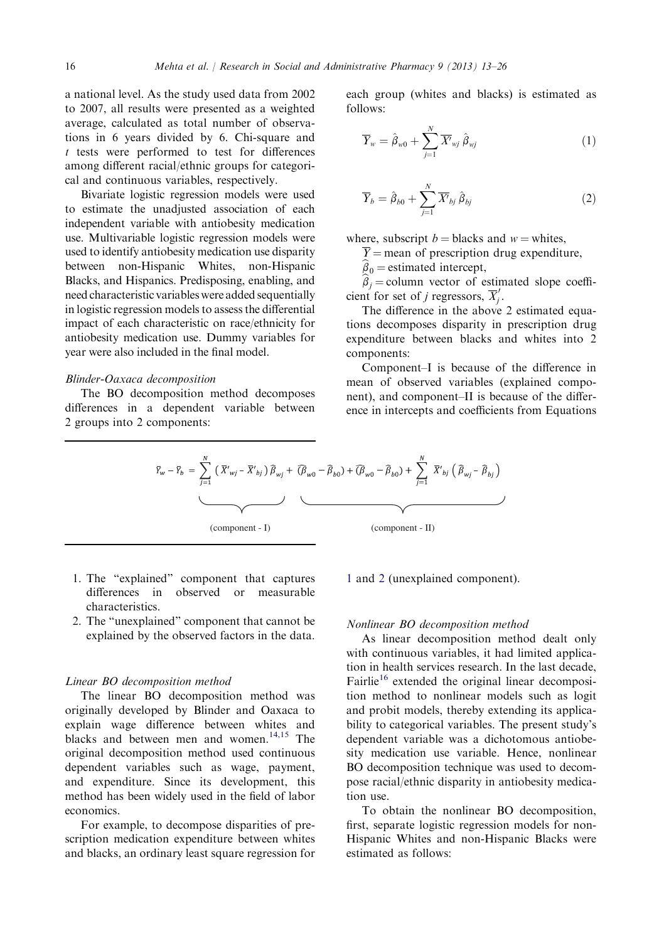a national level. As the study used data from 2002 to 2007, all results were presented as a weighted average, calculated as total number of observations in 6 years divided by 6. Chi-square and t tests were performed to test for differences among different racial/ethnic groups for categorical and continuous variables, respectively.

Bivariate logistic regression models were used to estimate the unadjusted association of each independent variable with antiobesity medication use. Multivariable logistic regression models were used to identify antiobesity medication use disparity between non-Hispanic Whites, non-Hispanic Blacks, and Hispanics. Predisposing, enabling, and need characteristic variables were added sequentially in logistic regression models to assess the differential impact of each characteristic on race/ethnicity for antiobesity medication use. Dummy variables for year were also included in the final model.

#### Blinder-Oaxaca decomposition

The BO decomposition method decomposes differences in a dependent variable between 2 groups into 2 components:

each group (whites and blacks) is estimated as follows:

$$
\overline{Y}_{w} = \hat{\beta}_{w0} + \sum_{j=1}^{N} \overline{X'}_{wj} \hat{\beta}_{wj}
$$
 (1)

$$
\overline{Y}_b = \hat{\beta}_{b0} + \sum_{j=1}^{N} \overline{X'}_{bj} \hat{\beta}_{bj} \tag{2}
$$

where, subscript  $b =$  blacks and  $w =$  whites,

 $\overline{Y}$  = mean of prescription drug expenditure,

 $\hat{\beta}_0$  = estimated intercept,

 $\hat{\beta}_i$  = column vector of estimated slope coefficient for set of j regressors,  $\overline{X}'_j$ .

The difference in the above 2 estimated equations decomposes disparity in prescription drug expenditure between blacks and whites into 2 components:

Component–I is because of the difference in mean of observed variables (explained component), and component–II is because of the difference in intercepts and coefficients from Equations

$$
\bar{Y}_{w} - \bar{Y}_{b} = \sum_{j=1}^{N} (\bar{X}'_{wj} - \bar{X}'_{bj}) \hat{\beta}_{wj} + (\hat{\beta}_{w0} - \hat{\beta}_{b0}) + (\hat{\beta}_{w0} - \hat{\beta}_{b0}) + \sum_{j=1}^{N} \bar{X}'_{bj} (\hat{\beta}_{wj} - \hat{\beta}_{bj})
$$
\n(component - I)

\n(component - II)

- 1. The "explained" component that captures differences in observed or measurable characteristics.
- 2. The "unexplained" component that cannot be explained by the observed factors in the data.

#### Linear BO decomposition method

The linear BO decomposition method was originally developed by Blinder and Oaxaca to explain wage difference between whites and blacks and between men and women.<sup>[14,15](#page-13-0)</sup> The original decomposition method used continuous dependent variables such as wage, payment, and expenditure. Since its development, this method has been widely used in the field of labor economics.

For example, to decompose disparities of prescription medication expenditure between whites and blacks, an ordinary least square regression for

1 and 2 (unexplained component).

#### Nonlinear BO decomposition method

As linear decomposition method dealt only with continuous variables, it had limited application in health services research. In the last decade, Fairlie<sup>[16](#page-13-0)</sup> extended the original linear decomposition method to nonlinear models such as logit and probit models, thereby extending its applicability to categorical variables. The present study's dependent variable was a dichotomous antiobesity medication use variable. Hence, nonlinear BO decomposition technique was used to decompose racial/ethnic disparity in antiobesity medication use.

To obtain the nonlinear BO decomposition, first, separate logistic regression models for non-Hispanic Whites and non-Hispanic Blacks were estimated as follows: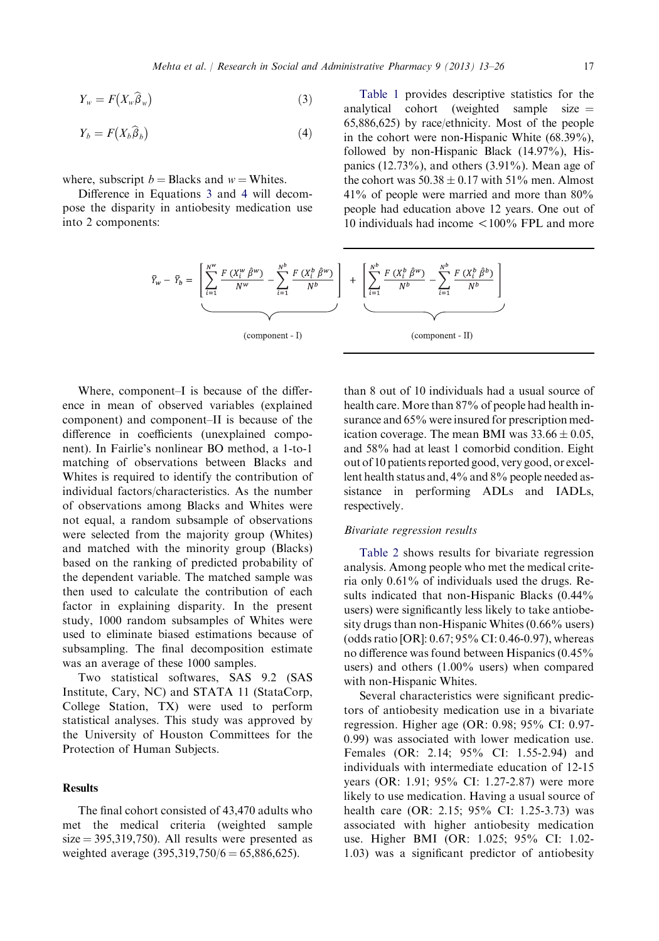$$
Y_w = F\big(X_w \widehat{\beta}_w\big) \tag{3}
$$

$$
Y_b = F(X_b \widehat{\beta}_b) \tag{4}
$$

where, subscript  $b = Blacks$  and  $w = Whites$ .

Difference in Equations 3 and 4 will decompose the disparity in antiobesity medication use into 2 components:

[Table 1](#page-5-0) provides descriptive statistics for the analytical cohort (weighted sample size  $=$ 65,886,625) by race/ethnicity. Most of the people in the cohort were non-Hispanic White (68.39%), followed by non-Hispanic Black (14.97%), Hispanics  $(12.73\%)$ , and others  $(3.91\%)$ . Mean age of the cohort was  $50.38 \pm 0.17$  with  $51\%$  men. Almost 41% of people were married and more than 80% people had education above 12 years. One out of 10 individuals had income  $\langle 100\%$  FPL and more

$$
\bar{Y}_w - \bar{Y}_b = \left[ \underbrace{\sum_{i=1}^{N^w} \frac{F(X_i^w \hat{\beta}^w)}{N^w} - \sum_{i=1}^{N^b} \frac{F(X_i^b \hat{\beta}^w)}{N^b}}_{\text{(component - I)}} \right] + \left[ \underbrace{\sum_{i=1}^{N^b} \frac{F(X_i^b \hat{\beta}^w)}{N^b} - \sum_{i=1}^{N^b} \frac{F(X_i^b \hat{\beta}^b)}{N^b}}_{\text{(component - II)}}
$$

Where, component–I is because of the difference in mean of observed variables (explained component) and component–II is because of the difference in coefficients (unexplained component). In Fairlie's nonlinear BO method, a 1-to-1 matching of observations between Blacks and Whites is required to identify the contribution of individual factors/characteristics. As the number of observations among Blacks and Whites were not equal, a random subsample of observations were selected from the majority group (Whites) and matched with the minority group (Blacks) based on the ranking of predicted probability of the dependent variable. The matched sample was then used to calculate the contribution of each factor in explaining disparity. In the present study, 1000 random subsamples of Whites were used to eliminate biased estimations because of subsampling. The final decomposition estimate was an average of these 1000 samples.

Two statistical softwares, SAS 9.2 (SAS Institute, Cary, NC) and STATA 11 (StataCorp, College Station, TX) were used to perform statistical analyses. This study was approved by the University of Houston Committees for the Protection of Human Subjects.

## Results

The final cohort consisted of 43,470 adults who met the medical criteria (weighted sample  $size = 395,319,750$ . All results were presented as weighted average  $(395,319,750/6 = 65,886,625)$ .

than 8 out of 10 individuals had a usual source of health care. More than 87% of people had health insurance and 65% were insured for prescription medication coverage. The mean BMI was  $33.66 \pm 0.05$ , and 58% had at least 1 comorbid condition. Eight out of 10 patients reported good, very good, or excellent health status and, 4% and 8% people needed assistance in performing ADLs and IADLs, respectively.

## Bivariate regression results

[Table 2](#page-7-0) shows results for bivariate regression analysis. Among people who met the medical criteria only 0.61% of individuals used the drugs. Results indicated that non-Hispanic Blacks (0.44% users) were significantly less likely to take antiobesity drugs than non-Hispanic Whites (0.66% users) (odds ratio [OR]: 0.67; 95% CI: 0.46-0.97), whereas no difference was found between Hispanics (0.45% users) and others (1.00% users) when compared with non-Hispanic Whites.

Several characteristics were significant predictors of antiobesity medication use in a bivariate regression. Higher age (OR: 0.98; 95% CI: 0.97- 0.99) was associated with lower medication use. Females (OR: 2.14; 95% CI: 1.55-2.94) and individuals with intermediate education of 12-15 years (OR: 1.91; 95% CI: 1.27-2.87) were more likely to use medication. Having a usual source of health care (OR: 2.15; 95% CI: 1.25-3.73) was associated with higher antiobesity medication use. Higher BMI (OR: 1.025; 95% CI: 1.02- 1.03) was a significant predictor of antiobesity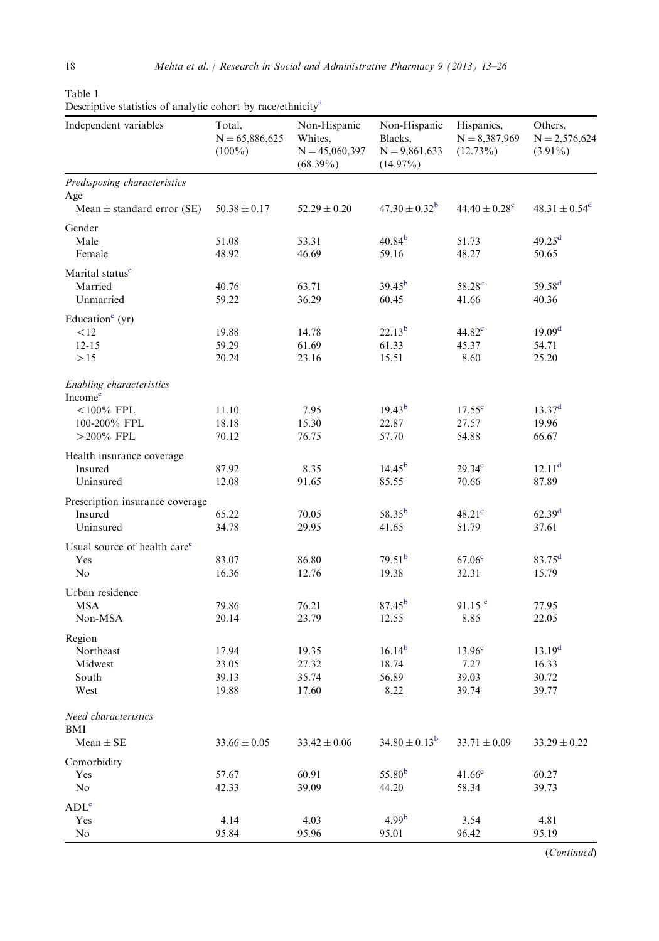| Independent variables                           | Total,<br>$N = 65,886,625$<br>$(100\%)$ | Non-Hispanic<br>Whites,<br>$N = 45,060,397$<br>$(68.39\%)$ | Non-Hispanic<br>Blacks,<br>$N = 9,861,633$<br>$(14.97\%)$ | Hispanics,<br>$N = 8,387,969$<br>$(12.73\%)$ | Others,<br>$N = 2,576,624$<br>$(3.91\%)$ |
|-------------------------------------------------|-----------------------------------------|------------------------------------------------------------|-----------------------------------------------------------|----------------------------------------------|------------------------------------------|
| Predisposing characteristics                    |                                         |                                                            |                                                           |                                              |                                          |
| Age<br>Mean $\pm$ standard error (SE)           | $50.38 \pm 0.17$                        | $52.29 \pm 0.20$                                           | $47.30 \pm 0.32^{\rm b}$                                  | $44.40 \pm 0.28$ <sup>c</sup>                | $48.31 \pm 0.54^d$                       |
| Gender                                          |                                         |                                                            |                                                           |                                              |                                          |
| Male                                            | 51.08                                   | 53.31                                                      | 40.84 <sup>b</sup>                                        | 51.73                                        | 49.25 <sup>d</sup>                       |
| Female                                          | 48.92                                   | 46.69                                                      | 59.16                                                     | 48.27                                        | 50.65                                    |
| Marital status <sup>e</sup>                     |                                         |                                                            |                                                           |                                              |                                          |
| Married                                         | 40.76                                   | 63.71                                                      | $39.45^{b}$                                               | 58.28 <sup>c</sup>                           | $59.58^{d}$                              |
| Unmarried                                       | 59.22                                   | 36.29                                                      | 60.45                                                     | 41.66                                        | 40.36                                    |
| Education <sup>e</sup> (yr)                     |                                         |                                                            |                                                           |                                              |                                          |
| < 12                                            | 19.88                                   | 14.78                                                      | $22.13^{b}$                                               | 44.82 <sup>c</sup>                           | 19.09 <sup>d</sup>                       |
| $12 - 15$                                       | 59.29                                   | 61.69                                                      | 61.33                                                     | 45.37                                        | 54.71                                    |
| >15                                             | 20.24                                   | 23.16                                                      | 15.51                                                     | 8.60                                         | 25.20                                    |
| Enabling characteristics<br>Income <sup>e</sup> |                                         |                                                            |                                                           |                                              |                                          |
| $< 100\%$ FPL                                   | 11.10                                   | 7.95                                                       | $19.43^{b}$                                               | $17.55^{\circ}$                              | 13.37 <sup>d</sup>                       |
| 100-200% FPL                                    | 18.18                                   | 15.30                                                      | 22.87                                                     | 27.57                                        | 19.96                                    |
| $>$ 200% FPL                                    | 70.12                                   | 76.75                                                      | 57.70                                                     | 54.88                                        | 66.67                                    |
| Health insurance coverage                       |                                         |                                                            |                                                           |                                              |                                          |
| Insured                                         | 87.92                                   | 8.35                                                       | $14.45^{b}$                                               | 29.34 <sup>c</sup>                           | 12.11 <sup>d</sup>                       |
| Uninsured                                       | 12.08                                   | 91.65                                                      | 85.55                                                     | 70.66                                        | 87.89                                    |
| Prescription insurance coverage                 |                                         |                                                            |                                                           |                                              |                                          |
| Insured                                         | 65.22                                   | 70.05                                                      | $58.35^{b}$                                               | 48.21 <sup>c</sup>                           | 62.39 <sup>d</sup>                       |
| Uninsured                                       | 34.78                                   | 29.95                                                      | 41.65                                                     | 51.79                                        | 37.61                                    |
| Usual source of health care <sup>e</sup>        |                                         |                                                            |                                                           |                                              |                                          |
| Yes                                             | 83.07                                   | 86.80                                                      | 79.51 <sup>b</sup>                                        | 67.06 <sup>c</sup>                           | $83.75^d$                                |
| No                                              | 16.36                                   | 12.76                                                      | 19.38                                                     | 32.31                                        | 15.79                                    |
| Urban residence                                 |                                         |                                                            |                                                           |                                              |                                          |
| MSA                                             | 79.86                                   | 76.21                                                      | $87.45^{b}$                                               | 91.15 <sup>c</sup>                           | 77.95                                    |
| Non-MSA                                         | 20.14                                   | 23.79                                                      | 12.55                                                     | 8.85                                         | 22.05                                    |
| Region                                          |                                         |                                                            |                                                           |                                              |                                          |
| Northeast                                       | 17.94                                   | 19.35                                                      | 16.14 <sup>b</sup>                                        | 13.96 <sup>c</sup>                           | 13.19 <sup>d</sup>                       |
| Midwest                                         | 23.05                                   | 27.32                                                      | 18.74                                                     | 7.27                                         | 16.33                                    |
| South                                           | 39.13                                   | 35.74                                                      | 56.89                                                     | 39.03                                        | 30.72                                    |
| West                                            | 19.88                                   | 17.60                                                      | 8.22                                                      | 39.74                                        | 39.77                                    |
| Need characteristics<br>BMI                     |                                         |                                                            |                                                           |                                              |                                          |
| $Mean \pm SE$                                   | $33.66 \pm 0.05$                        | $33.42 \pm 0.06$                                           | $34.80 \pm 0.13^b$                                        | $33.71 \pm 0.09$                             | $33.29 \pm 0.22$                         |
| Comorbidity                                     |                                         |                                                            |                                                           |                                              |                                          |
| Yes                                             | 57.67                                   | 60.91                                                      | 55.80 <sup>b</sup>                                        | 41.66 <sup>c</sup>                           | 60.27                                    |
| No                                              | 42.33                                   | 39.09                                                      | 44.20                                                     | 58.34                                        | 39.73                                    |
| ADL <sup>e</sup>                                |                                         |                                                            |                                                           |                                              |                                          |
| Yes                                             | 4.14                                    | 4.03                                                       | 4.99 <sup>b</sup>                                         | 3.54                                         | 4.81                                     |
| No                                              | 95.84                                   | 95.96                                                      | 95.01                                                     | 96.42                                        | 95.19                                    |

<span id="page-5-0"></span>Table 1 Descriptive statistics of analytic cohort by race/ethnicit[ya](#page-6-0)

(Continued)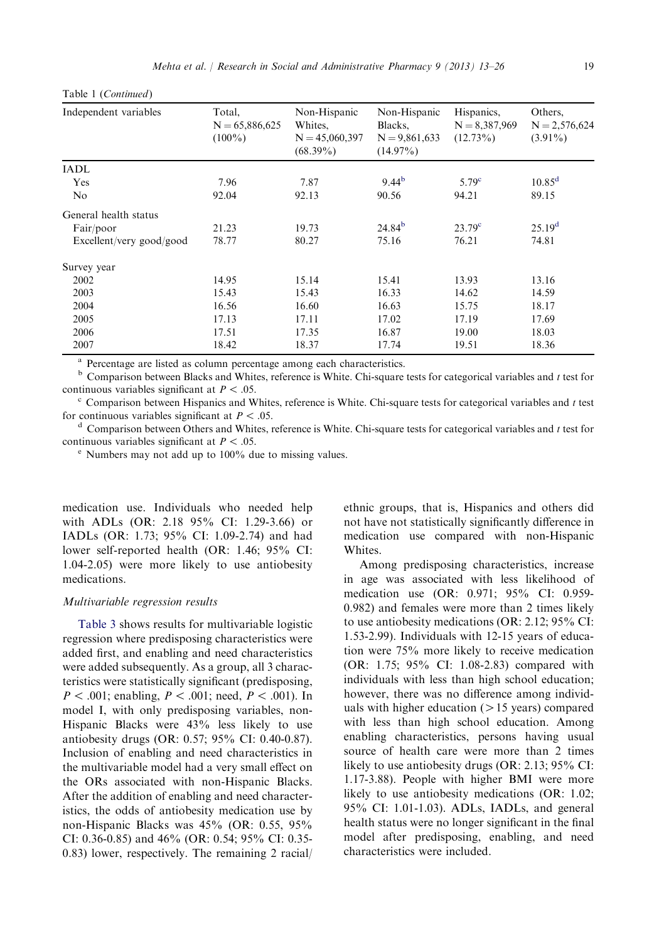| Independent variables    | Total,<br>$N = 65,886,625$<br>$(100\%)$ | Non-Hispanic<br>Whites,<br>$N = 45,060,397$<br>$(68.39\%)$ | Non-Hispanic<br>Blacks,<br>$N = 9,861,633$<br>$(14.97\%)$ | Hispanics,<br>$N = 8,387,969$<br>$(12.73\%)$ | Others.<br>$N = 2,576,624$<br>$(3.91\%)$ |
|--------------------------|-----------------------------------------|------------------------------------------------------------|-----------------------------------------------------------|----------------------------------------------|------------------------------------------|
| <b>IADL</b>              |                                         |                                                            |                                                           |                                              |                                          |
| Yes                      | 7.96                                    | 7.87                                                       | $9.44^{b}$                                                | 5.79 <sup>c</sup>                            | $10.85^{\rm d}$                          |
| N <sub>o</sub>           | 92.04                                   | 92.13                                                      | 90.56                                                     | 94.21                                        | 89.15                                    |
| General health status    |                                         |                                                            |                                                           |                                              |                                          |
| Fair/poor                | 21.23                                   | 19.73                                                      | $24.84^{b}$                                               | $23.79^{\circ}$                              | 25.19 <sup>d</sup>                       |
| Excellent/very good/good | 78.77                                   | 80.27                                                      | 75.16                                                     | 76.21                                        | 74.81                                    |
| Survey year              |                                         |                                                            |                                                           |                                              |                                          |
| 2002                     | 14.95                                   | 15.14                                                      | 15.41                                                     | 13.93                                        | 13.16                                    |
| 2003                     | 15.43                                   | 15.43                                                      | 16.33                                                     | 14.62                                        | 14.59                                    |
| 2004                     | 16.56                                   | 16.60                                                      | 16.63                                                     | 15.75                                        | 18.17                                    |
| 2005                     | 17.13                                   | 17.11                                                      | 17.02                                                     | 17.19                                        | 17.69                                    |
| 2006                     | 17.51                                   | 17.35                                                      | 16.87                                                     | 19.00                                        | 18.03                                    |
| 2007                     | 18.42                                   | 18.37                                                      | 17.74                                                     | 19.51                                        | 18.36                                    |

<span id="page-6-0"></span>Table 1 (Continued)

<sup>a</sup> Percentage are listed as column percentage among each characteristics.<br><sup>b</sup> Comparison between Blacks and Whites, reference is White. Chi-square tests for categorical variables and t test for continuous variables significant at  $P < .05$ .

 $c$  Comparison between Hispanics and Whites, reference is White. Chi-square tests for categorical variables and t test for continuous variables significant at  $P < .05$ .<br><sup>d</sup> Comparison between Others and Whites, reference is White. Chi-square tests for categorical variables and t test for

continuous variables significant at  $P < .05$ .

<sup>e</sup> Numbers may not add up to 100% due to missing values.

medication use. Individuals who needed help with ADLs (OR: 2.18 95% CI: 1.29-3.66) or IADLs (OR: 1.73; 95% CI: 1.09-2.74) and had lower self-reported health (OR: 1.46; 95% CI: 1.04-2.05) were more likely to use antiobesity medications.

#### Multivariable regression results

[Table 3](#page-9-0) shows results for multivariable logistic regression where predisposing characteristics were added first, and enabling and need characteristics were added subsequently. As a group, all 3 characteristics were statistically significant (predisposing,  $P < .001$ ; enabling,  $P < .001$ ; need,  $P < .001$ ). In model I, with only predisposing variables, non-Hispanic Blacks were 43% less likely to use antiobesity drugs (OR: 0.57; 95% CI: 0.40-0.87). Inclusion of enabling and need characteristics in the multivariable model had a very small effect on the ORs associated with non-Hispanic Blacks. After the addition of enabling and need characteristics, the odds of antiobesity medication use by non-Hispanic Blacks was 45% (OR: 0.55, 95% CI: 0.36-0.85) and 46% (OR: 0.54; 95% CI: 0.35- 0.83) lower, respectively. The remaining 2 racial/ ethnic groups, that is, Hispanics and others did not have not statistically significantly difference in medication use compared with non-Hispanic Whites.

Among predisposing characteristics, increase in age was associated with less likelihood of medication use (OR: 0.971; 95% CI: 0.959- 0.982) and females were more than 2 times likely to use antiobesity medications (OR: 2.12; 95% CI: 1.53-2.99). Individuals with 12-15 years of education were 75% more likely to receive medication (OR: 1.75; 95% CI: 1.08-2.83) compared with individuals with less than high school education; however, there was no difference among individuals with higher education  $(>15$  years) compared with less than high school education. Among enabling characteristics, persons having usual source of health care were more than 2 times likely to use antiobesity drugs (OR: 2.13; 95% CI: 1.17-3.88). People with higher BMI were more likely to use antiobesity medications (OR: 1.02; 95% CI: 1.01-1.03). ADLs, IADLs, and general health status were no longer significant in the final model after predisposing, enabling, and need characteristics were included.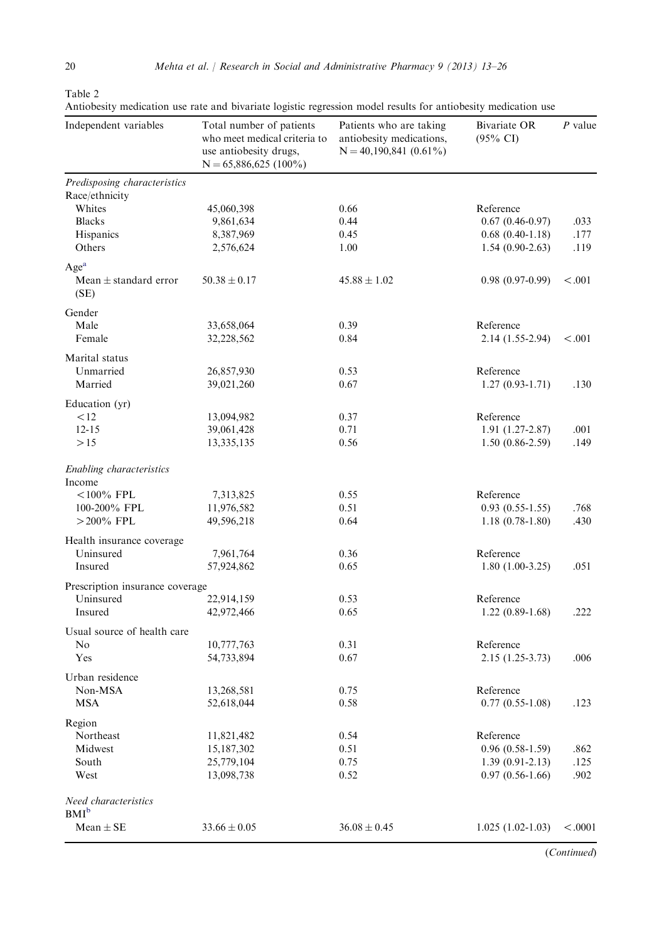<span id="page-7-0"></span>

Table 2

|  |  |  |  |  | Antiobesity medication use rate and bivariate logistic regression model results for antiobesity medication use |  |
|--|--|--|--|--|----------------------------------------------------------------------------------------------------------------|--|
|  |  |  |  |  |                                                                                                                |  |

| Independent variables                                 | Total number of patients<br>who meet medical criteria to<br>use antiobesity drugs,<br>$N = 65,886,625(100\%)$ | Patients who are taking<br>antiobesity medications,<br>$N = 40,190,841(0.61\%)$ | Bivariate OR<br>$(95\% \text{ CI})$ | P value |
|-------------------------------------------------------|---------------------------------------------------------------------------------------------------------------|---------------------------------------------------------------------------------|-------------------------------------|---------|
| Predisposing characteristics                          |                                                                                                               |                                                                                 |                                     |         |
| Race/ethnicity                                        |                                                                                                               |                                                                                 |                                     |         |
| Whites                                                | 45,060,398                                                                                                    | 0.66                                                                            | Reference                           |         |
| <b>Blacks</b>                                         | 9,861,634                                                                                                     | 0.44                                                                            | $0.67(0.46-0.97)$                   | .033    |
| Hispanics                                             | 8,387,969                                                                                                     | 0.45                                                                            | $0.68(0.40-1.18)$                   | .177    |
| Others                                                | 2,576,624                                                                                                     | 1.00                                                                            | $1.54(0.90-2.63)$                   | .119    |
| Age <sup>a</sup><br>Mean $\pm$ standard error<br>(SE) | $50.38 \pm 0.17$                                                                                              | $45.88 \pm 1.02$                                                                | $0.98(0.97-0.99)$                   | < 0.001 |
| Gender                                                |                                                                                                               |                                                                                 |                                     |         |
| Male                                                  | 33,658,064                                                                                                    | 0.39                                                                            | Reference                           |         |
| Female                                                | 32,228,562                                                                                                    | 0.84                                                                            | 2.14 (1.55-2.94)                    | < 0.001 |
|                                                       |                                                                                                               |                                                                                 |                                     |         |
| Marital status                                        |                                                                                                               |                                                                                 |                                     |         |
| Unmarried<br>Married                                  | 26,857,930                                                                                                    | 0.53                                                                            | Reference                           |         |
|                                                       | 39,021,260                                                                                                    | 0.67                                                                            | $1.27(0.93-1.71)$                   | .130    |
| Education (yr)                                        |                                                                                                               |                                                                                 |                                     |         |
| < 12                                                  | 13,094,982                                                                                                    | 0.37                                                                            | Reference                           |         |
| $12 - 15$                                             | 39,061,428                                                                                                    | 0.71                                                                            | $1.91(1.27-2.87)$                   | .001    |
| >15                                                   | 13,335,135                                                                                                    | 0.56                                                                            | $1.50(0.86-2.59)$                   | .149    |
| Enabling characteristics                              |                                                                                                               |                                                                                 |                                     |         |
| Income                                                |                                                                                                               |                                                                                 |                                     |         |
| $<$ 100% FPL                                          | 7,313,825                                                                                                     | 0.55                                                                            | Reference                           |         |
| 100-200% FPL                                          | 11,976,582                                                                                                    | 0.51                                                                            | $0.93(0.55-1.55)$                   | .768    |
| $>$ 200% FPL                                          | 49,596,218                                                                                                    | 0.64                                                                            | $1.18(0.78-1.80)$                   | .430    |
|                                                       |                                                                                                               |                                                                                 |                                     |         |
| Health insurance coverage                             |                                                                                                               |                                                                                 |                                     |         |
| Uninsured                                             | 7,961,764                                                                                                     | 0.36                                                                            | Reference                           |         |
| Insured                                               | 57,924,862                                                                                                    | 0.65                                                                            | $1.80(1.00-3.25)$                   | .051    |
| Prescription insurance coverage                       |                                                                                                               |                                                                                 |                                     |         |
| Uninsured                                             | 22,914,159                                                                                                    | 0.53                                                                            | Reference                           |         |
| Insured                                               | 42,972,466                                                                                                    | 0.65                                                                            | $1.22(0.89-1.68)$                   | .222    |
| Usual source of health care                           |                                                                                                               |                                                                                 |                                     |         |
| No                                                    | 10,777,763                                                                                                    | 0.31                                                                            | Reference                           |         |
| Yes                                                   | 54,733,894                                                                                                    | 0.67                                                                            | 2.15 (1.25-3.73)                    | .006    |
|                                                       |                                                                                                               |                                                                                 |                                     |         |
| Urban residence                                       |                                                                                                               |                                                                                 |                                     |         |
| Non-MSA                                               | 13,268,581                                                                                                    | 0.75                                                                            | Reference                           |         |
| MSA                                                   | 52,618,044                                                                                                    | 0.58                                                                            | $0.77(0.55-1.08)$                   | .123    |
| Region                                                |                                                                                                               |                                                                                 |                                     |         |
| Northeast                                             | 11,821,482                                                                                                    | 0.54                                                                            | Reference                           |         |
| Midwest                                               | 15,187,302                                                                                                    | 0.51                                                                            | $0.96(0.58-1.59)$                   | .862    |
| South                                                 | 25,779,104                                                                                                    | 0.75                                                                            | $1.39(0.91-2.13)$                   | .125    |
| West                                                  | 13,098,738                                                                                                    | 0.52                                                                            | $0.97(0.56-1.66)$                   | .902    |
| Need characteristics<br>$BMI^b$                       |                                                                                                               |                                                                                 |                                     |         |
|                                                       |                                                                                                               |                                                                                 |                                     |         |
| $Mean \pm SE$                                         | $33.66 \pm 0.05$                                                                                              | $36.08 \pm 0.45$                                                                | $1.025(1.02-1.03)$                  | < .0001 |

(Continued)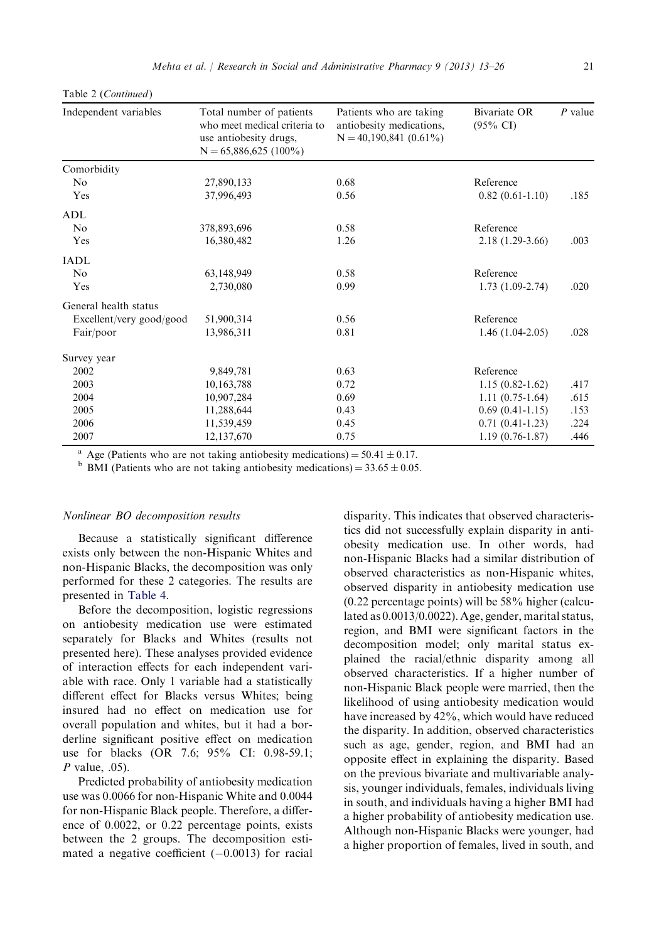| Independent variables    | Total number of patients<br>who meet medical criteria to<br>use antiobesity drugs,<br>$N = 65,886,625(100\%)$ | Patients who are taking<br>antiobesity medications,<br>$N = 40,190,841(0.61\%)$ | Bivariate OR<br>$(95\% \text{ CI})$ | $P$ value |
|--------------------------|---------------------------------------------------------------------------------------------------------------|---------------------------------------------------------------------------------|-------------------------------------|-----------|
| Comorbidity              |                                                                                                               |                                                                                 |                                     |           |
| N <sub>0</sub>           | 27,890,133                                                                                                    | 0.68                                                                            | Reference                           |           |
| Yes                      | 37,996,493                                                                                                    | 0.56                                                                            | $0.82(0.61-1.10)$                   | .185      |
| ADL                      |                                                                                                               |                                                                                 |                                     |           |
| No                       | 378,893,696                                                                                                   | 0.58                                                                            | Reference                           |           |
| Yes                      | 16,380,482                                                                                                    | 1.26                                                                            | $2.18(1.29-3.66)$                   | .003      |
| <b>IADL</b>              |                                                                                                               |                                                                                 |                                     |           |
| N <sub>0</sub>           | 63,148,949                                                                                                    | 0.58                                                                            | Reference                           |           |
| Yes                      | 2.730.080                                                                                                     | 0.99                                                                            | $1.73(1.09-2.74)$                   | .020      |
| General health status    |                                                                                                               |                                                                                 |                                     |           |
| Excellent/very good/good | 51,900,314                                                                                                    | 0.56                                                                            | Reference                           |           |
| Fair/poor                | 13,986,311                                                                                                    | 0.81                                                                            | $1.46(1.04-2.05)$                   | .028      |
| Survey year              |                                                                                                               |                                                                                 |                                     |           |
| 2002                     | 9,849,781                                                                                                     | 0.63                                                                            | Reference                           |           |
| 2003                     | 10,163,788                                                                                                    | 0.72                                                                            | $1.15(0.82 - 1.62)$                 | .417      |
| 2004                     | 10,907,284                                                                                                    | 0.69                                                                            | $1.11(0.75-1.64)$                   | .615      |
| 2005                     | 11,288,644                                                                                                    | 0.43                                                                            | $0.69(0.41-1.15)$                   | .153      |
| 2006                     | 11,539,459                                                                                                    | 0.45                                                                            | $0.71(0.41-1.23)$                   | .224      |
| 2007                     | 12,137,670                                                                                                    | 0.75                                                                            | $1.19(0.76 - 1.87)$                 | .446      |

<span id="page-8-0"></span>Table 2 (Continued)

<sup>a</sup> Age (Patients who are not taking antiobesity medications) = 50.41  $\pm$  0.17. b BMI (Patients who are not taking antiobesity medications) = 33.65  $\pm$  0.05.

#### Nonlinear BO decomposition results

Because a statistically significant difference exists only between the non-Hispanic Whites and non-Hispanic Blacks, the decomposition was only performed for these 2 categories. The results are presented in [Table 4.](#page-10-0)

Before the decomposition, logistic regressions on antiobesity medication use were estimated separately for Blacks and Whites (results not presented here). These analyses provided evidence of interaction effects for each independent variable with race. Only 1 variable had a statistically different effect for Blacks versus Whites; being insured had no effect on medication use for overall population and whites, but it had a borderline significant positive effect on medication use for blacks (OR 7.6; 95% CI: 0.98-59.1;  $P$  value, .05).

Predicted probability of antiobesity medication use was 0.0066 for non-Hispanic White and 0.0044 for non-Hispanic Black people. Therefore, a difference of 0.0022, or 0.22 percentage points, exists between the 2 groups. The decomposition estimated a negative coefficient  $(-0.0013)$  for racial

disparity. This indicates that observed characteristics did not successfully explain disparity in antiobesity medication use. In other words, had non-Hispanic Blacks had a similar distribution of observed characteristics as non-Hispanic whites, observed disparity in antiobesity medication use (0.22 percentage points) will be 58% higher (calculated as 0.0013/0.0022). Age, gender, marital status, region, and BMI were significant factors in the decomposition model; only marital status explained the racial/ethnic disparity among all observed characteristics. If a higher number of non-Hispanic Black people were married, then the likelihood of using antiobesity medication would have increased by 42%, which would have reduced the disparity. In addition, observed characteristics such as age, gender, region, and BMI had an opposite effect in explaining the disparity. Based on the previous bivariate and multivariable analysis, younger individuals, females, individuals living in south, and individuals having a higher BMI had a higher probability of antiobesity medication use. Although non-Hispanic Blacks were younger, had a higher proportion of females, lived in south, and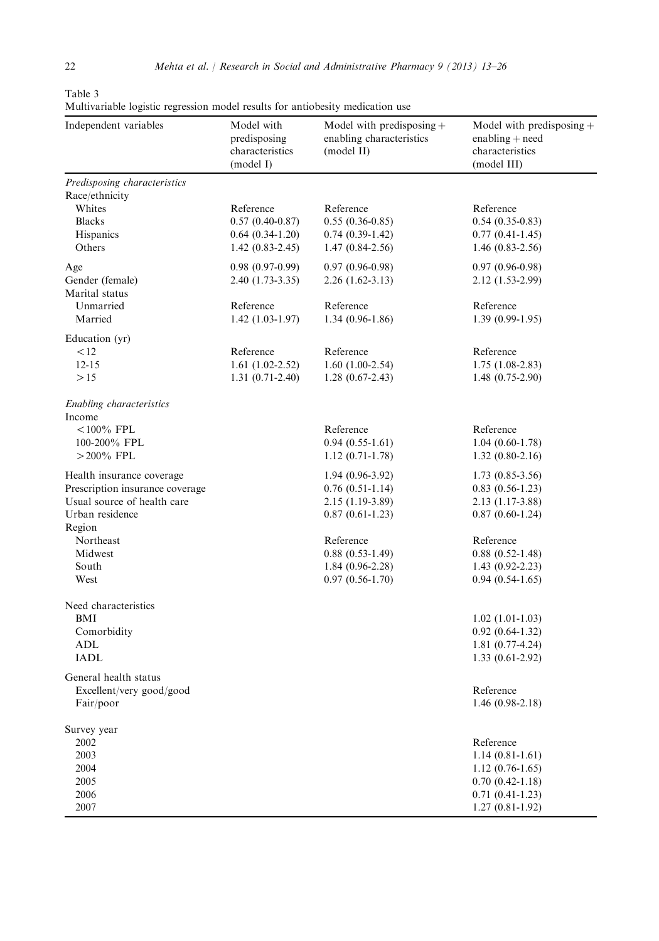<span id="page-9-0"></span>Table 3

Multivariable logistic regression model results for antiobesity medication use

| маничанное юдине тедевион поден тезани тот аннооситу подподной азе<br>Independent variables | Model with<br>predisposing<br>characteristics<br>(model I) | Model with predisposing $+$<br>enabling characteristics<br>(model II) | Model with predisposing $+$<br>$enabling + need$<br>characteristics<br>(model III) |
|---------------------------------------------------------------------------------------------|------------------------------------------------------------|-----------------------------------------------------------------------|------------------------------------------------------------------------------------|
| Predisposing characteristics<br>Race/ethnicity<br>Whites                                    | Reference                                                  | Reference                                                             | Reference                                                                          |
| <b>Blacks</b>                                                                               | $0.57(0.40-0.87)$                                          | $0.55(0.36-0.85)$                                                     | $0.54(0.35-0.83)$                                                                  |
| Hispanics                                                                                   | $0.64(0.34-1.20)$                                          | $0.74(0.39-1.42)$                                                     | $0.77(0.41-1.45)$                                                                  |
| Others                                                                                      | $1.42(0.83 - 2.45)$                                        | $1.47(0.84-2.56)$                                                     | $1.46(0.83-2.56)$                                                                  |
| Age                                                                                         | $0.98(0.97-0.99)$                                          | $0.97(0.96-0.98)$                                                     | $0.97(0.96-0.98)$                                                                  |
| Gender (female)                                                                             | 2.40 (1.73-3.35)                                           | $2.26(1.62-3.13)$                                                     | 2.12 (1.53-2.99)                                                                   |
| Marital status                                                                              |                                                            |                                                                       |                                                                                    |
| Unmarried                                                                                   | Reference                                                  | Reference                                                             | Reference                                                                          |
| Married                                                                                     | $1.42(1.03-1.97)$                                          | $1.34(0.96-1.86)$                                                     | $1.39(0.99-1.95)$                                                                  |
| Education (yr)                                                                              |                                                            |                                                                       |                                                                                    |
| < 12                                                                                        | Reference                                                  | Reference                                                             | Reference                                                                          |
| $12 - 15$                                                                                   | $1.61(1.02-2.52)$                                          | $1.60(1.00-2.54)$                                                     | $1.75(1.08-2.83)$                                                                  |
| >15                                                                                         | $1.31(0.71-2.40)$                                          | $1.28(0.67-2.43)$                                                     | $1.48(0.75-2.90)$                                                                  |
| Enabling characteristics<br>Income                                                          |                                                            |                                                                       |                                                                                    |
| $<$ 100% FPL                                                                                |                                                            | Reference                                                             | Reference                                                                          |
| 100-200% FPL                                                                                |                                                            | $0.94(0.55-1.61)$                                                     | $1.04(0.60-1.78)$                                                                  |
| $>$ 200% FPL                                                                                |                                                            | $1.12(0.71-1.78)$                                                     | $1.32(0.80-2.16)$                                                                  |
| Health insurance coverage                                                                   |                                                            | $1.94(0.96-3.92)$                                                     | $1.73(0.85-3.56)$                                                                  |
| Prescription insurance coverage                                                             |                                                            | $0.76(0.51-1.14)$                                                     | $0.83(0.56-1.23)$                                                                  |
| Usual source of health care                                                                 |                                                            | 2.15 (1.19-3.89)                                                      | 2.13 (1.17-3.88)                                                                   |
| Urban residence                                                                             |                                                            | $0.87(0.61-1.23)$                                                     | $0.87(0.60-1.24)$                                                                  |
| Region                                                                                      |                                                            |                                                                       |                                                                                    |
| Northeast                                                                                   |                                                            | Reference                                                             | Reference                                                                          |
| Midwest                                                                                     |                                                            | $0.88(0.53-1.49)$                                                     | $0.88(0.52-1.48)$                                                                  |
| South                                                                                       |                                                            | $1.84(0.96-2.28)$                                                     | $1.43(0.92 - 2.23)$                                                                |
| West                                                                                        |                                                            | $0.97(0.56-1.70)$                                                     | $0.94(0.54-1.65)$                                                                  |
| Need characteristics                                                                        |                                                            |                                                                       |                                                                                    |
| <b>BMI</b>                                                                                  |                                                            |                                                                       | $1.02(1.01-1.03)$                                                                  |
| Comorbidity                                                                                 |                                                            |                                                                       | $0.92(0.64-1.32)$                                                                  |
| ADL                                                                                         |                                                            |                                                                       | $1.81(0.77-4.24)$                                                                  |
| <b>IADL</b>                                                                                 |                                                            |                                                                       | $1.33(0.61-2.92)$                                                                  |
| General health status                                                                       |                                                            |                                                                       |                                                                                    |
| Excellent/very good/good                                                                    |                                                            |                                                                       | Reference                                                                          |
| Fair/poor                                                                                   |                                                            |                                                                       | $1.46(0.98-2.18)$                                                                  |
| Survey year                                                                                 |                                                            |                                                                       |                                                                                    |
| 2002                                                                                        |                                                            |                                                                       | Reference                                                                          |
| 2003                                                                                        |                                                            |                                                                       | $1.14(0.81-1.61)$                                                                  |
| 2004                                                                                        |                                                            |                                                                       | $1.12(0.76-1.65)$                                                                  |
| 2005                                                                                        |                                                            |                                                                       | $0.70(0.42 - 1.18)$                                                                |
| 2006                                                                                        |                                                            |                                                                       | $0.71(0.41-1.23)$                                                                  |
| 2007                                                                                        |                                                            |                                                                       | $1.27(0.81-1.92)$                                                                  |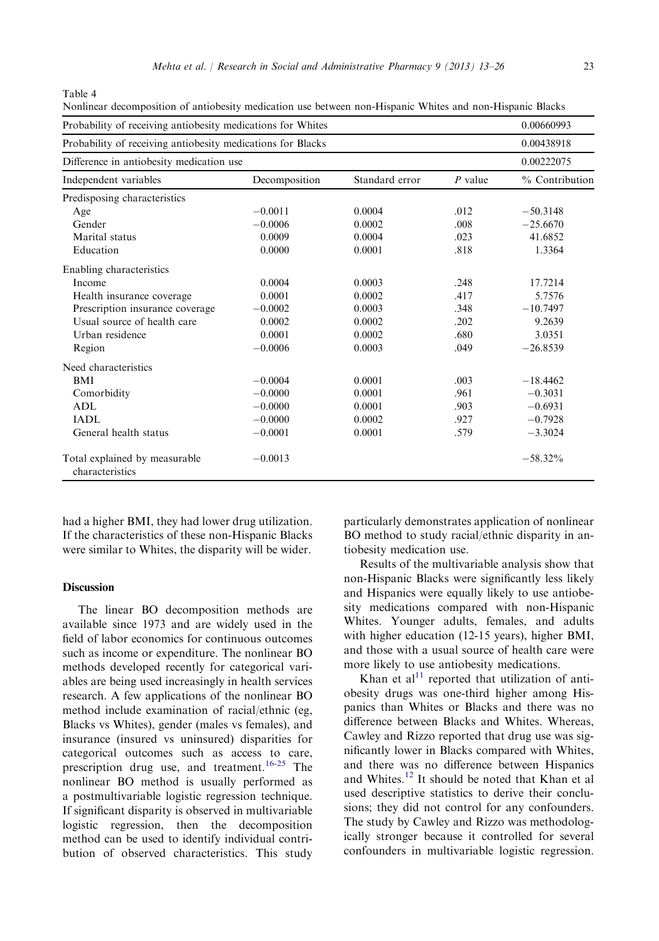<span id="page-10-0"></span>Table 4

| Probability of receiving antiobesity medications for Whites | 0.00660993<br>0.00438918<br>0.00222075 |        |      |            |
|-------------------------------------------------------------|----------------------------------------|--------|------|------------|
| Probability of receiving antiobesity medications for Blacks |                                        |        |      |            |
| Difference in antiobesity medication use                    |                                        |        |      |            |
| Independent variables                                       | % Contribution                         |        |      |            |
| Predisposing characteristics                                |                                        |        |      |            |
| Age                                                         | $-0.0011$                              | 0.0004 | .012 | $-50.3148$ |
| Gender                                                      | $-0.0006$                              | 0.0002 | .008 | $-25.6670$ |
| Marital status                                              | 0.0009                                 | 0.0004 | .023 | 41.6852    |
| Education                                                   | 0.0000                                 | 0.0001 | .818 | 1.3364     |
| Enabling characteristics                                    |                                        |        |      |            |
| Income                                                      | 0.0004                                 | 0.0003 | .248 | 17.7214    |
| Health insurance coverage                                   | 0.0001                                 | 0.0002 | .417 | 5.7576     |
| Prescription insurance coverage                             | $-0.0002$                              | 0.0003 | .348 | $-10.7497$ |
| Usual source of health care                                 | 0.0002                                 | 0.0002 | .202 | 9.2639     |
| Urban residence                                             | 0.0001                                 | 0.0002 | .680 | 3.0351     |
| Region                                                      | $-0.0006$                              | 0.0003 | .049 | $-26.8539$ |
| Need characteristics                                        |                                        |        |      |            |
| <b>BMI</b>                                                  | $-0.0004$                              | 0.0001 | .003 | $-18.4462$ |
| Comorbidity                                                 | $-0.0000$                              | 0.0001 | .961 | $-0.3031$  |
| <b>ADL</b>                                                  | $-0.0000$                              | 0.0001 | .903 | $-0.6931$  |
| IADL                                                        | $-0.0000$                              | 0.0002 | .927 | $-0.7928$  |
| General health status                                       | $-0.0001$                              | 0.0001 | .579 | $-3.3024$  |
| Total explained by measurable<br>characteristics            | $-0.0013$                              |        |      | $-58.32\%$ |

Nonlinear decomposition of antiobesity medication use between non-Hispanic Whites and non-Hispanic Blacks

had a higher BMI, they had lower drug utilization. If the characteristics of these non-Hispanic Blacks were similar to Whites, the disparity will be wider.

## Discussion

The linear BO decomposition methods are available since 1973 and are widely used in the field of labor economics for continuous outcomes such as income or expenditure. The nonlinear BO methods developed recently for categorical variables are being used increasingly in health services research. A few applications of the nonlinear BO method include examination of racial/ethnic (eg, Blacks vs Whites), gender (males vs females), and insurance (insured vs uninsured) disparities for categorical outcomes such as access to care, prescription drug use, and treatment.<sup>[16-25](#page-13-0)</sup> The nonlinear BO method is usually performed as a postmultivariable logistic regression technique. If significant disparity is observed in multivariable logistic regression, then the decomposition method can be used to identify individual contribution of observed characteristics. This study particularly demonstrates application of nonlinear BO method to study racial/ethnic disparity in antiobesity medication use.

Results of the multivariable analysis show that non-Hispanic Blacks were significantly less likely and Hispanics were equally likely to use antiobesity medications compared with non-Hispanic Whites. Younger adults, females, and adults with higher education (12-15 years), higher BMI, and those with a usual source of health care were more likely to use antiobesity medications.

Khan et al $^{11}$  $^{11}$  $^{11}$  reported that utilization of antiobesity drugs was one-third higher among Hispanics than Whites or Blacks and there was no difference between Blacks and Whites. Whereas, Cawley and Rizzo reported that drug use was significantly lower in Blacks compared with Whites, and there was no difference between Hispanics and Whites.[12](#page-13-0) It should be noted that Khan et al used descriptive statistics to derive their conclusions; they did not control for any confounders. The study by Cawley and Rizzo was methodologically stronger because it controlled for several confounders in multivariable logistic regression.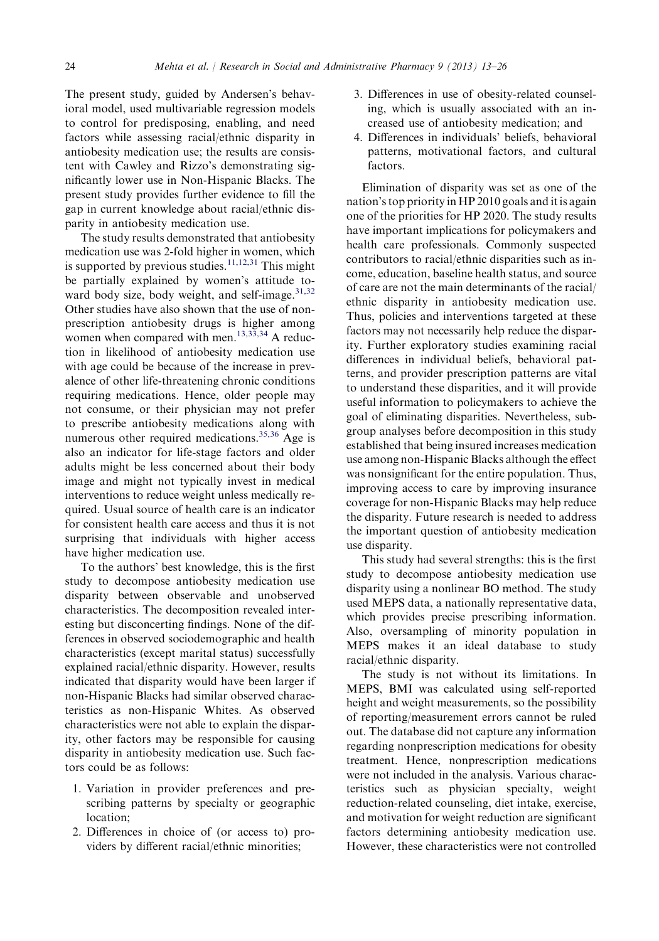The present study, guided by Andersen's behavioral model, used multivariable regression models to control for predisposing, enabling, and need factors while assessing racial/ethnic disparity in antiobesity medication use; the results are consistent with Cawley and Rizzo's demonstrating significantly lower use in Non-Hispanic Blacks. The present study provides further evidence to fill the gap in current knowledge about racial/ethnic disparity in antiobesity medication use.

The study results demonstrated that antiobesity medication use was 2-fold higher in women, which is supported by previous studies.<sup>[11,12,31](#page-13-0)</sup> This might be partially explained by women's attitude to-ward body size, body weight, and self-image.<sup>[31,32](#page-13-0)</sup> Other studies have also shown that the use of nonprescription antiobesity drugs is higher among women when compared with men.<sup>[13,33,34](#page-13-0)</sup> A reduction in likelihood of antiobesity medication use with age could be because of the increase in prevalence of other life-threatening chronic conditions requiring medications. Hence, older people may not consume, or their physician may not prefer to prescribe antiobesity medications along with numerous other required medications.<sup>[35,36](#page-13-0)</sup> Age is also an indicator for life-stage factors and older adults might be less concerned about their body image and might not typically invest in medical interventions to reduce weight unless medically required. Usual source of health care is an indicator for consistent health care access and thus it is not surprising that individuals with higher access have higher medication use.

To the authors' best knowledge, this is the first study to decompose antiobesity medication use disparity between observable and unobserved characteristics. The decomposition revealed interesting but disconcerting findings. None of the differences in observed sociodemographic and health characteristics (except marital status) successfully explained racial/ethnic disparity. However, results indicated that disparity would have been larger if non-Hispanic Blacks had similar observed characteristics as non-Hispanic Whites. As observed characteristics were not able to explain the disparity, other factors may be responsible for causing disparity in antiobesity medication use. Such factors could be as follows:

- 1. Variation in provider preferences and prescribing patterns by specialty or geographic location;
- 2. Differences in choice of (or access to) providers by different racial/ethnic minorities;
- 3. Differences in use of obesity-related counseling, which is usually associated with an increased use of antiobesity medication; and
- 4. Differences in individuals' beliefs, behavioral patterns, motivational factors, and cultural factors.

Elimination of disparity was set as one of the nation's top priority in HP 2010 goals and it is again one of the priorities for HP 2020. The study results have important implications for policymakers and health care professionals. Commonly suspected contributors to racial/ethnic disparities such as income, education, baseline health status, and source of care are not the main determinants of the racial/ ethnic disparity in antiobesity medication use. Thus, policies and interventions targeted at these factors may not necessarily help reduce the disparity. Further exploratory studies examining racial differences in individual beliefs, behavioral patterns, and provider prescription patterns are vital to understand these disparities, and it will provide useful information to policymakers to achieve the goal of eliminating disparities. Nevertheless, subgroup analyses before decomposition in this study established that being insured increases medication use among non-Hispanic Blacks although the effect was nonsignificant for the entire population. Thus, improving access to care by improving insurance coverage for non-Hispanic Blacks may help reduce the disparity. Future research is needed to address the important question of antiobesity medication use disparity.

This study had several strengths: this is the first study to decompose antiobesity medication use disparity using a nonlinear BO method. The study used MEPS data, a nationally representative data, which provides precise prescribing information. Also, oversampling of minority population in MEPS makes it an ideal database to study racial/ethnic disparity.

The study is not without its limitations. In MEPS, BMI was calculated using self-reported height and weight measurements, so the possibility of reporting/measurement errors cannot be ruled out. The database did not capture any information regarding nonprescription medications for obesity treatment. Hence, nonprescription medications were not included in the analysis. Various characteristics such as physician specialty, weight reduction-related counseling, diet intake, exercise, and motivation for weight reduction are significant factors determining antiobesity medication use. However, these characteristics were not controlled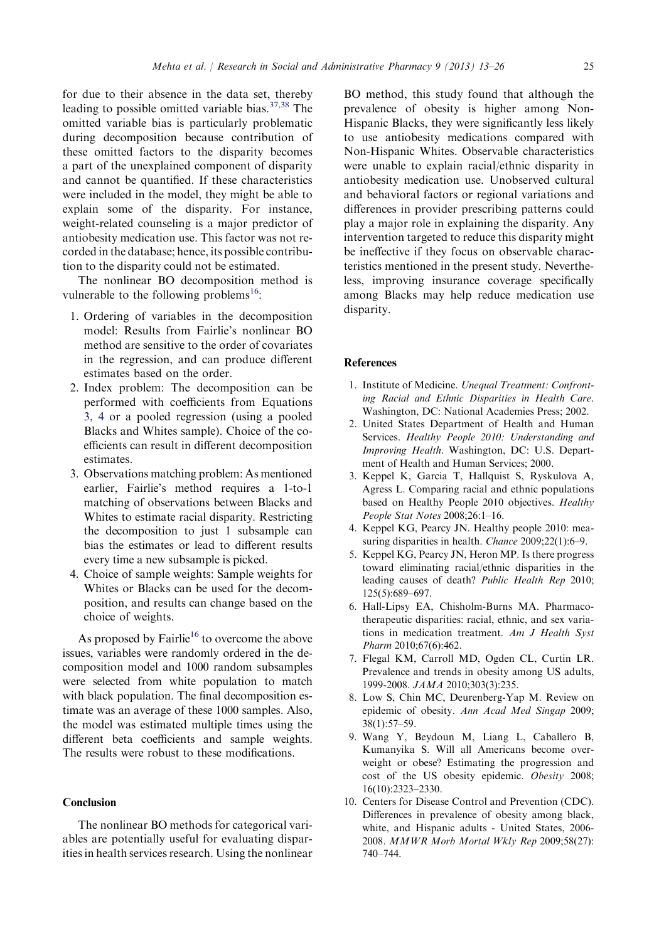<span id="page-12-0"></span>for due to their absence in the data set, thereby leading to possible omitted variable bias.[37,38](#page-13-0) The omitted variable bias is particularly problematic during decomposition because contribution of these omitted factors to the disparity becomes a part of the unexplained component of disparity and cannot be quantified. If these characteristics were included in the model, they might be able to explain some of the disparity. For instance, weight-related counseling is a major predictor of antiobesity medication use. This factor was not recorded in the database; hence, its possible contribution to the disparity could not be estimated.

The nonlinear BO decomposition method is vulnerable to the following problems<sup>16</sup>:

- 1. Ordering of variables in the decomposition model: Results from Fairlie's nonlinear BO method are sensitive to the order of covariates in the regression, and can produce different estimates based on the order.
- 2. Index problem: The decomposition can be performed with coefficients from Equations 3, 4 or a pooled regression (using a pooled Blacks and Whites sample). Choice of the coefficients can result in different decomposition estimates.
- 3. Observations matching problem: As mentioned earlier, Fairlie's method requires a 1-to-1 matching of observations between Blacks and Whites to estimate racial disparity. Restricting the decomposition to just 1 subsample can bias the estimates or lead to different results every time a new subsample is picked.
- 4. Choice of sample weights: Sample weights for Whites or Blacks can be used for the decomposition, and results can change based on the choice of weights.

As proposed by Fairlie<sup>16</sup> to overcome the above issues, variables were randomly ordered in the decomposition model and 1000 random subsamples were selected from white population to match with black population. The final decomposition estimate was an average of these 1000 samples. Also, the model was estimated multiple times using the different beta coefficients and sample weights. The results were robust to these modifications.

## Conclusion

The nonlinear BO methods for categorical variables are potentially useful for evaluating disparities in health services research. Using the nonlinear

BO method, this study found that although the prevalence of obesity is higher among Non-Hispanic Blacks, they were significantly less likely to use antiobesity medications compared with Non-Hispanic Whites. Observable characteristics were unable to explain racial/ethnic disparity in antiobesity medication use. Unobserved cultural and behavioral factors or regional variations and differences in provider prescribing patterns could play a major role in explaining the disparity. Any intervention targeted to reduce this disparity might be ineffective if they focus on observable characteristics mentioned in the present study. Nevertheless, improving insurance coverage specifically among Blacks may help reduce medication use disparity.

#### **References**

- 1. Institute of Medicine. Unequal Treatment: Confronting Racial and Ethnic Disparities in Health Care. Washington, DC: National Academies Press; 2002.
- 2. United States Department of Health and Human Services. Healthy People 2010: Understanding and Improving Health. Washington, DC: U.S. Department of Health and Human Services; 2000.
- 3. Keppel K, Garcia T, Hallquist S, Ryskulova A, Agress L. Comparing racial and ethnic populations based on Healthy People 2010 objectives. Healthy People Stat Notes 2008;26:1–16.
- 4. Keppel KG, Pearcy JN. Healthy people 2010: measuring disparities in health. *Chance* 2009;22(1):6–9.
- 5. Keppel KG, Pearcy JN, Heron MP. Is there progress toward eliminating racial/ethnic disparities in the leading causes of death? Public Health Rep 2010; 125(5):689–697.
- 6. Hall-Lipsy EA, Chisholm-Burns MA. Pharmacotherapeutic disparities: racial, ethnic, and sex variations in medication treatment. Am J Health Syst Pharm 2010;67(6):462.
- 7. Flegal KM, Carroll MD, Ogden CL, Curtin LR. Prevalence and trends in obesity among US adults, 1999-2008. JAMA 2010;303(3):235.
- 8. Low S, Chin MC, Deurenberg-Yap M. Review on epidemic of obesity. Ann Acad Med Singap 2009; 38(1):57–59.
- 9. Wang Y, Beydoun M, Liang L, Caballero B, Kumanyika S. Will all Americans become overweight or obese? Estimating the progression and cost of the US obesity epidemic. Obesity 2008; 16(10):2323–2330.
- 10. Centers for Disease Control and Prevention (CDC). Differences in prevalence of obesity among black, white, and Hispanic adults - United States, 2006- 2008. MMWR Morb Mortal Wkly Rep 2009;58(27): 740–744.